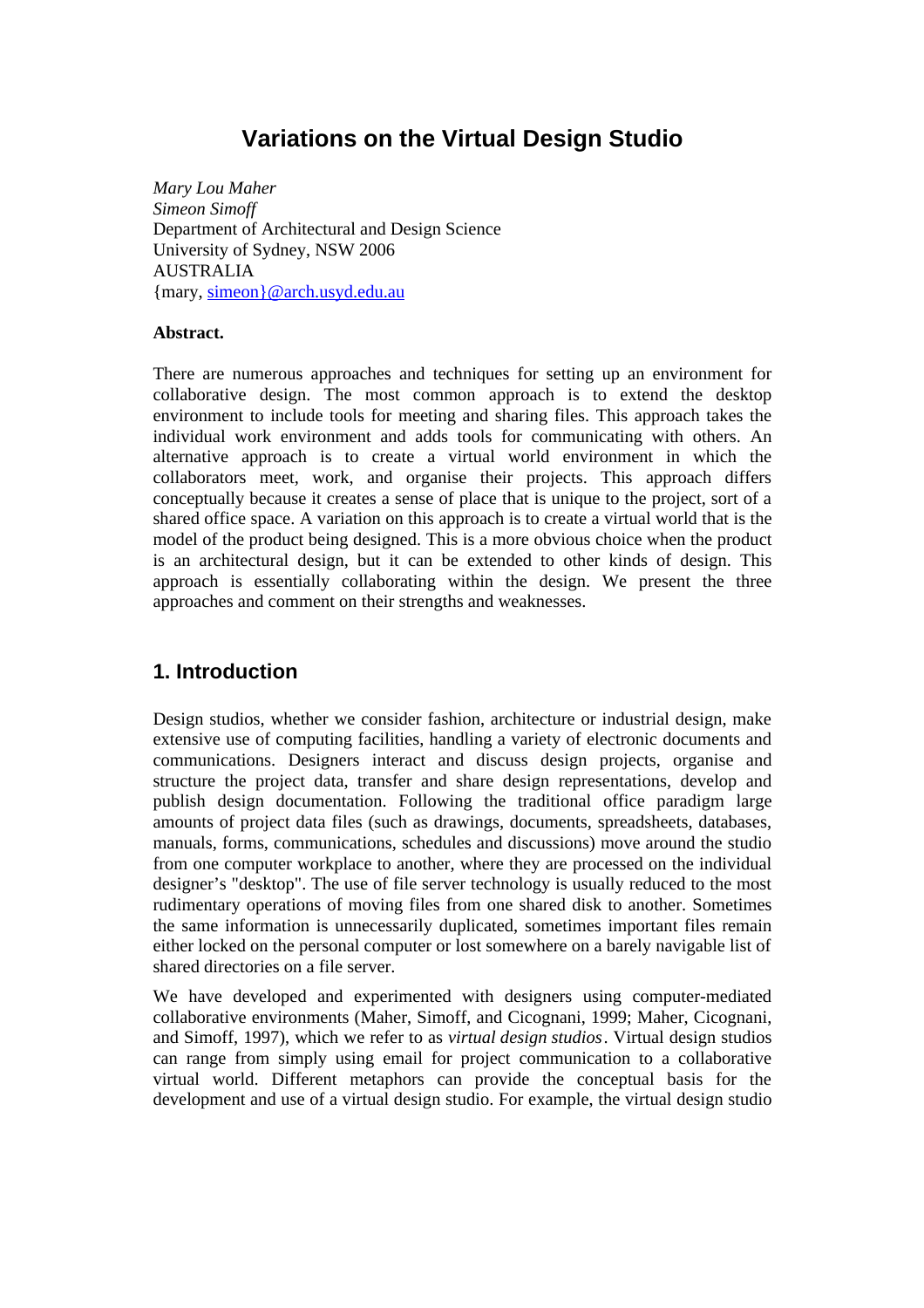# **Variations on the Virtual Design Studio**

*Mary Lou Maher Simeon Simoff* Department of Architectural and Design Science University of Sydney, NSW 2006 AUSTRALIA {mary, simeon}@arch.usyd.edu.au

#### **Abstract.**

There are numerous approaches and techniques for setting up an environment for collaborative design. The most common approach is to extend the desktop environment to include tools for meeting and sharing files. This approach takes the individual work environment and adds tools for communicating with others. An alternative approach is to create a virtual world environment in which the collaborators meet, work, and organise their projects. This approach differs conceptually because it creates a sense of place that is unique to the project, sort of a shared office space. A variation on this approach is to create a virtual world that is the model of the product being designed. This is a more obvious choice when the product is an architectural design, but it can be extended to other kinds of design. This approach is essentially collaborating within the design. We present the three approaches and comment on their strengths and weaknesses.

### **1. Introduction**

Design studios, whether we consider fashion, architecture or industrial design, make extensive use of computing facilities, handling a variety of electronic documents and communications. Designers interact and discuss design projects, organise and structure the project data, transfer and share design representations, develop and publish design documentation. Following the traditional office paradigm large amounts of project data files (such as drawings, documents, spreadsheets, databases, manuals, forms, communications, schedules and discussions) move around the studio from one computer workplace to another, where they are processed on the individual designer's "desktop". The use of file server technology is usually reduced to the most rudimentary operations of moving files from one shared disk to another. Sometimes the same information is unnecessarily duplicated, sometimes important files remain either locked on the personal computer or lost somewhere on a barely navigable list of shared directories on a file server.

We have developed and experimented with designers using computer-mediated collaborative environments (Maher, Simoff, and Cicognani, 1999; Maher, Cicognani, and Simoff, 1997), which we refer to as *virtual design studios*. Virtual design studios can range from simply using email for project communication to a collaborative virtual world. Different metaphors can provide the conceptual basis for the development and use of a virtual design studio. For example, the virtual design studio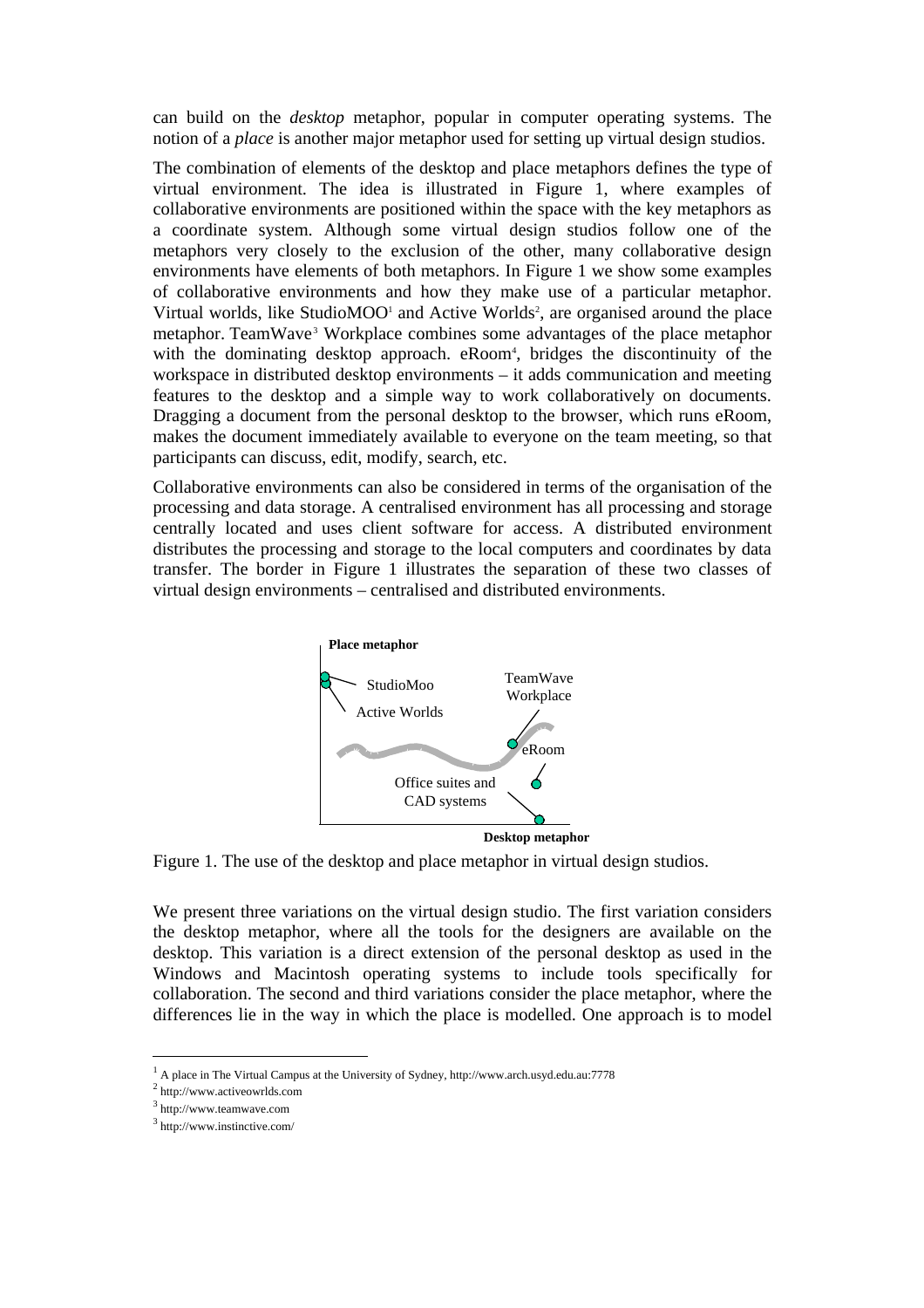can build on the *desktop* metaphor, popular in computer operating systems. The notion of a *place* is another major metaphor used for setting up virtual design studios.

The combination of elements of the desktop and place metaphors defines the type of virtual environment. The idea is illustrated in Figure 1, where examples of collaborative environments are positioned within the space with the key metaphors as a coordinate system. Although some virtual design studios follow one of the metaphors very closely to the exclusion of the other, many collaborative design environments have elements of both metaphors. In Figure 1 we show some examples of collaborative environments and how they make use of a particular metaphor. Virtual worlds, like StudioMOO<sup>1</sup> and Active Worlds<sup>2</sup>, are organised around the place metaphor. TeamWave<sup>3</sup> Workplace combines some advantages of the place metaphor with the dominating desktop approach. eRoom<sup>4</sup>, bridges the discontinuity of the workspace in distributed desktop environments – it adds communication and meeting features to the desktop and a simple way to work collaboratively on documents. Dragging a document from the personal desktop to the browser, which runs eRoom, makes the document immediately available to everyone on the team meeting, so that participants can discuss, edit, modify, search, etc.

Collaborative environments can also be considered in terms of the organisation of the processing and data storage. A centralised environment has all processing and storage centrally located and uses client software for access. A distributed environment distributes the processing and storage to the local computers and coordinates by data transfer. The border in Figure 1 illustrates the separation of these two classes of virtual design environments – centralised and distributed environments.



Figure 1. The use of the desktop and place metaphor in virtual design studios.

We present three variations on the virtual design studio. The first variation considers the desktop metaphor, where all the tools for the designers are available on the desktop. This variation is a direct extension of the personal desktop as used in the Windows and Macintosh operating systems to include tools specifically for collaboration. The second and third variations consider the place metaphor, where the differences lie in the way in which the place is modelled. One approach is to model

<sup>&</sup>lt;sup>1</sup> A place in The Virtual Campus at the University of Sydney, http://www.arch.usyd.edu.au:7778

<sup>2</sup> http://www.activeowrlds.com

<sup>&</sup>lt;sup>3</sup> http://www.teamwave.com

<sup>3</sup> http://www.instinctive.com/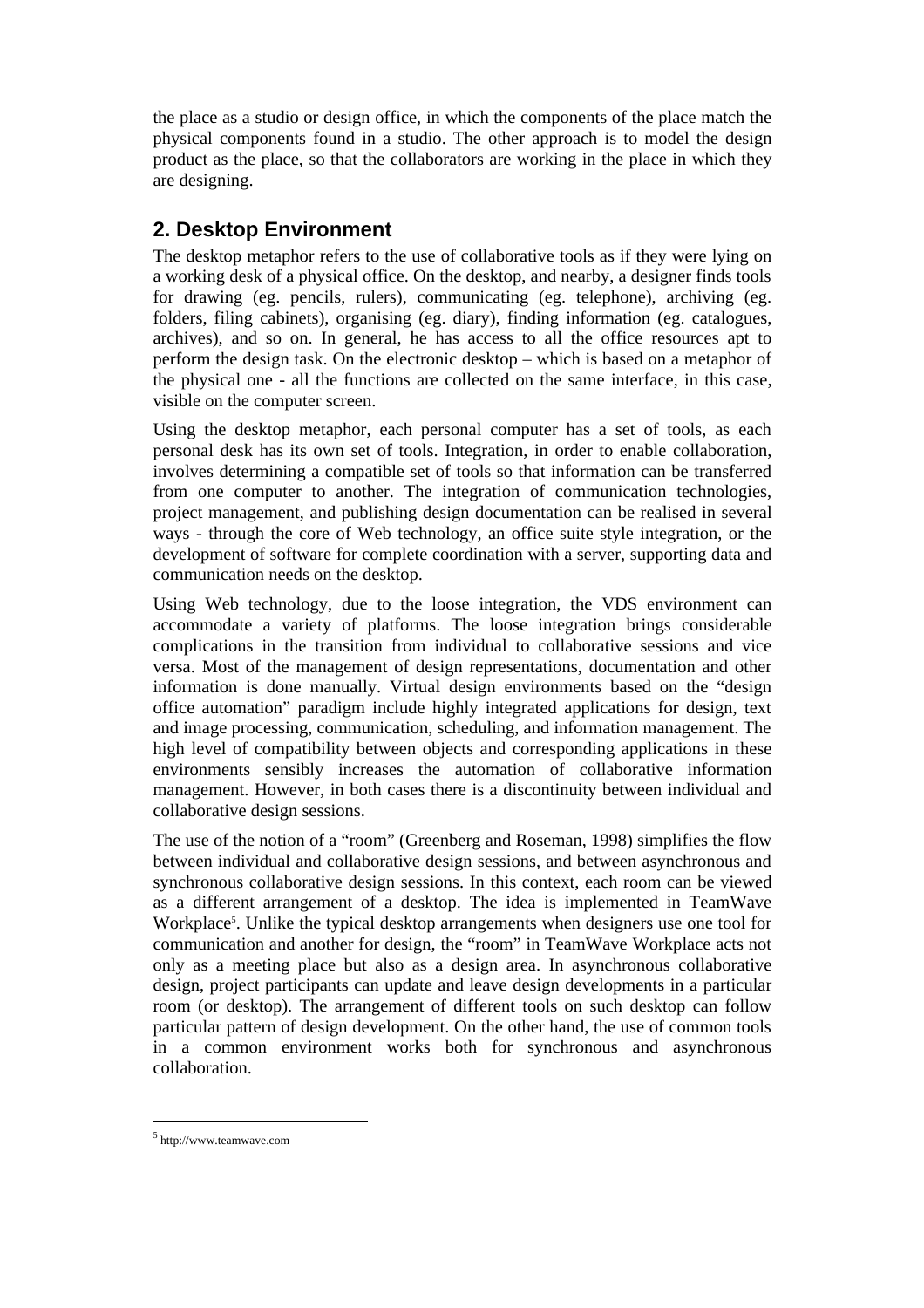the place as a studio or design office, in which the components of the place match the physical components found in a studio. The other approach is to model the design product as the place, so that the collaborators are working in the place in which they are designing.

### **2. Desktop Environment**

The desktop metaphor refers to the use of collaborative tools as if they were lying on a working desk of a physical office. On the desktop, and nearby, a designer finds tools for drawing (eg. pencils, rulers), communicating (eg. telephone), archiving (eg. folders, filing cabinets), organising (eg. diary), finding information (eg. catalogues, archives), and so on. In general, he has access to all the office resources apt to perform the design task. On the electronic desktop – which is based on a metaphor of the physical one - all the functions are collected on the same interface, in this case, visible on the computer screen.

Using the desktop metaphor, each personal computer has a set of tools, as each personal desk has its own set of tools. Integration, in order to enable collaboration, involves determining a compatible set of tools so that information can be transferred from one computer to another. The integration of communication technologies, project management, and publishing design documentation can be realised in several ways - through the core of Web technology, an office suite style integration, or the development of software for complete coordination with a server, supporting data and communication needs on the desktop.

Using Web technology, due to the loose integration, the VDS environment can accommodate a variety of platforms. The loose integration brings considerable complications in the transition from individual to collaborative sessions and vice versa. Most of the management of design representations, documentation and other information is done manually. Virtual design environments based on the "design office automation" paradigm include highly integrated applications for design, text and image processing, communication, scheduling, and information management. The high level of compatibility between objects and corresponding applications in these environments sensibly increases the automation of collaborative information management. However, in both cases there is a discontinuity between individual and collaborative design sessions.

The use of the notion of a "room" (Greenberg and Roseman, 1998) simplifies the flow between individual and collaborative design sessions, and between asynchronous and synchronous collaborative design sessions. In this context, each room can be viewed as a different arrangement of a desktop. The idea is implemented in TeamWave Workplace<sup>5</sup>. Unlike the typical desktop arrangements when designers use one tool for communication and another for design, the "room" in TeamWave Workplace acts not only as a meeting place but also as a design area. In asynchronous collaborative design, project participants can update and leave design developments in a particular room (or desktop). The arrangement of different tools on such desktop can follow particular pattern of design development. On the other hand, the use of common tools in a common environment works both for synchronous and asynchronous collaboration.

<sup>5</sup> http://www.teamwave.com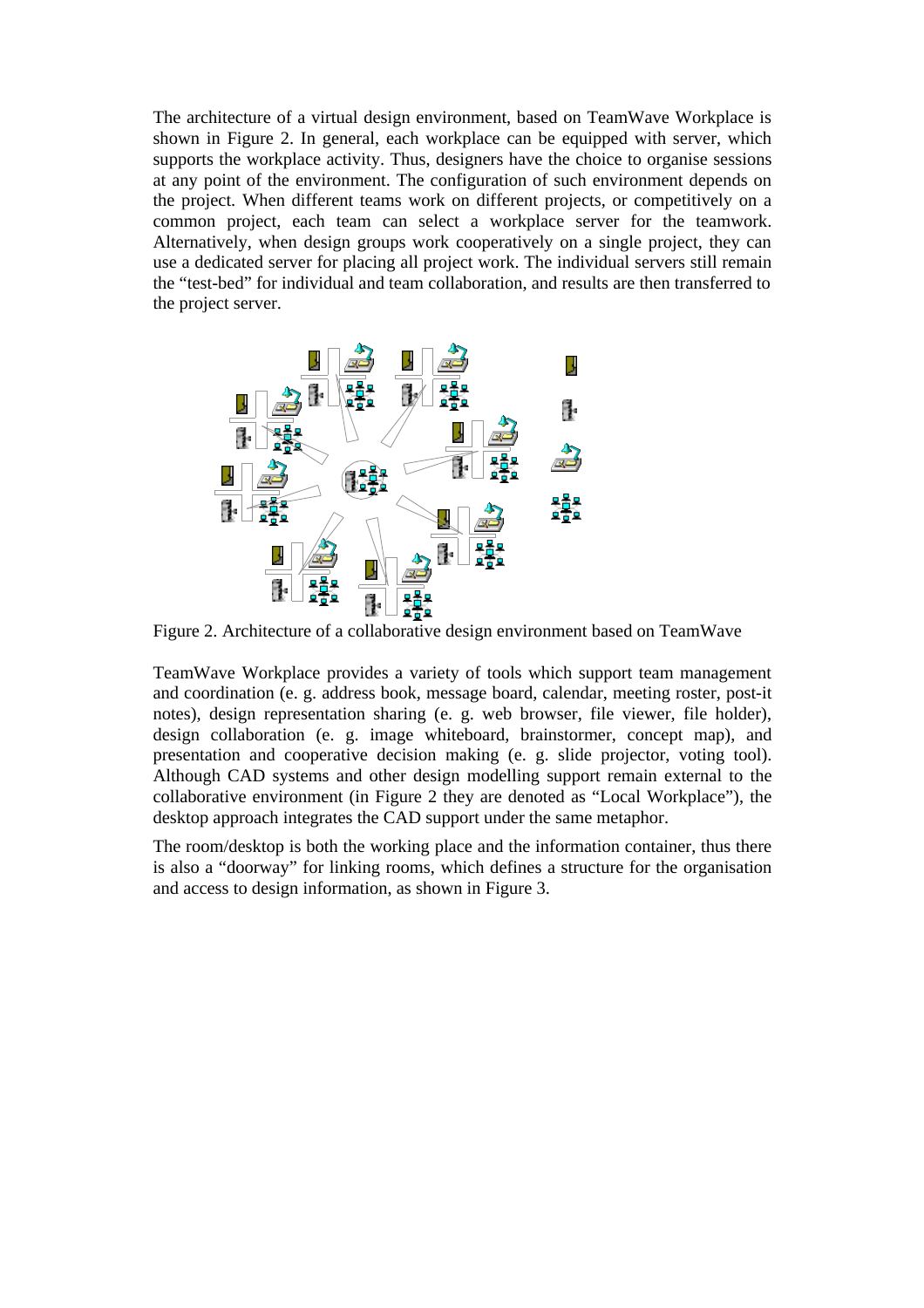The architecture of a virtual design environment, based on TeamWave Workplace is shown in Figure 2. In general, each workplace can be equipped with server, which supports the workplace activity. Thus, designers have the choice to organise sessions at any point of the environment. The configuration of such environment depends on the project. When different teams work on different projects, or competitively on a common project, each team can select a workplace server for the teamwork. Alternatively, when design groups work cooperatively on a single project, they can use a dedicated server for placing all project work. The individual servers still remain the "test-bed" for individual and team collaboration, and results are then transferred to the project server.



Figure 2. Architecture of a collaborative design environment based on TeamWave

TeamWave Workplace provides a variety of tools which support team management and coordination (e. g. address book, message board, calendar, meeting roster, post-it notes), design representation sharing (e. g. web browser, file viewer, file holder), design collaboration (e. g. image whiteboard, brainstormer, concept map), and presentation and cooperative decision making (e. g. slide projector, voting tool). Although CAD systems and other design modelling support remain external to the collaborative environment (in Figure 2 they are denoted as "Local Workplace"), the desktop approach integrates the CAD support under the same metaphor.

The room/desktop is both the working place and the information container, thus there is also a "doorway" for linking rooms, which defines a structure for the organisation and access to design information, as shown in Figure 3.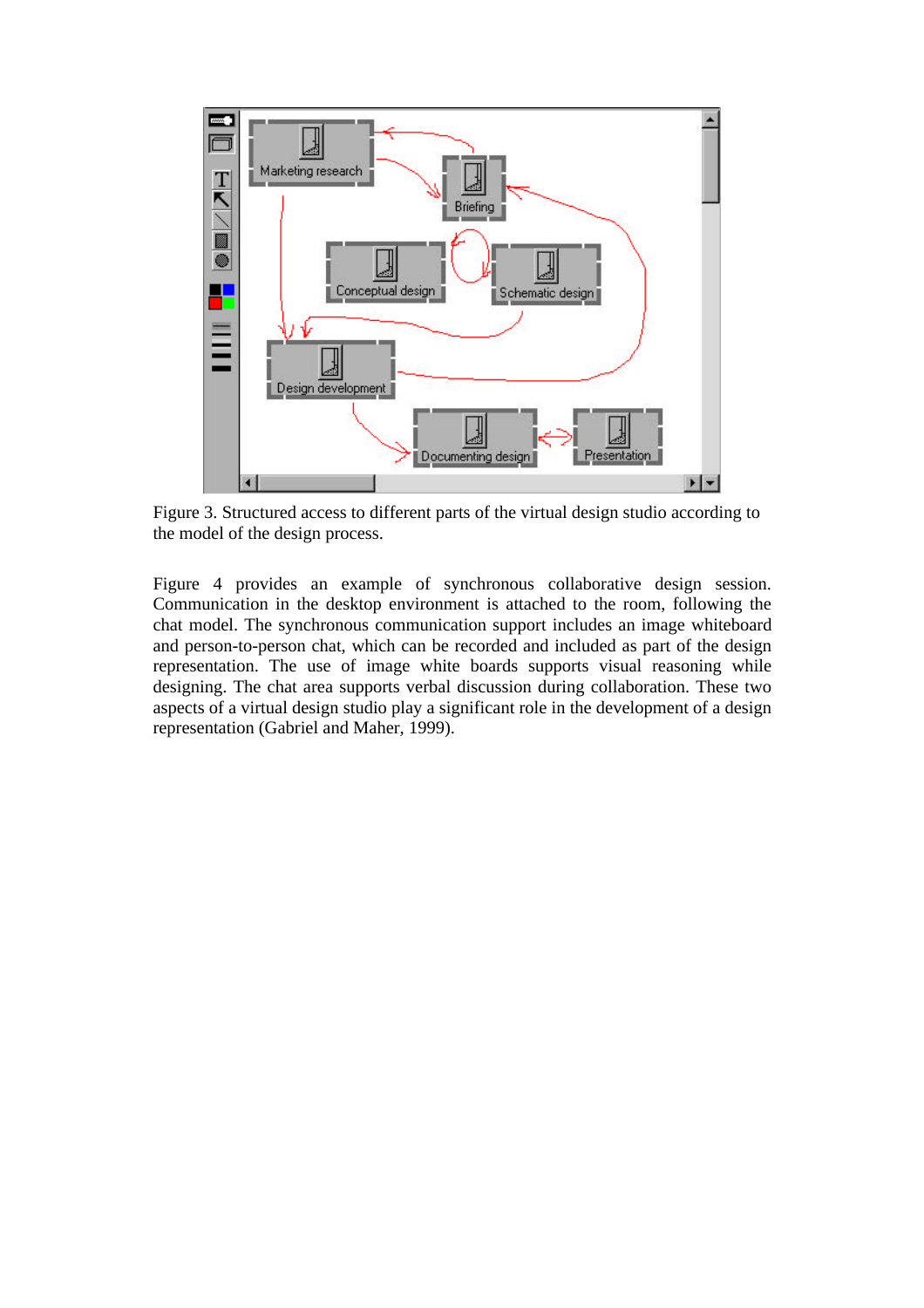

Figure 3. Structured access to different parts of the virtual design studio according to the model of the design process.

Figure 4 provides an example of synchronous collaborative design session. Communication in the desktop environment is attached to the room, following the chat model. The synchronous communication support includes an image whiteboard and person-to-person chat, which can be recorded and included as part of the design representation. The use of image white boards supports visual reasoning while designing. The chat area supports verbal discussion during collaboration. These two aspects of a virtual design studio play a significant role in the development of a design representation (Gabriel and Maher, 1999).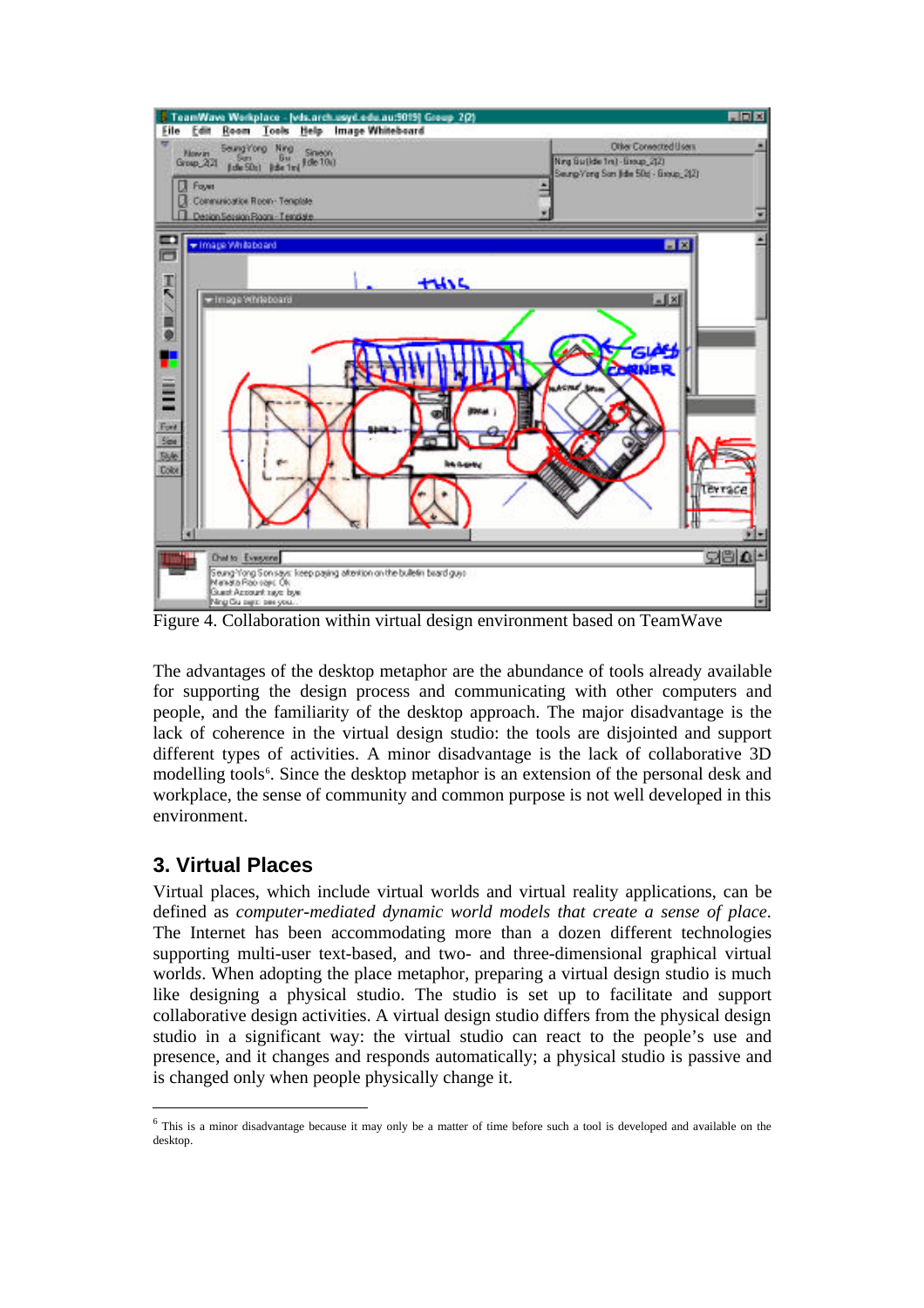

Figure 4. Collaboration within virtual design environment based on TeamWave

The advantages of the desktop metaphor are the abundance of tools already available for supporting the design process and communicating with other computers and people, and the familiarity of the desktop approach. The major disadvantage is the lack of coherence in the virtual design studio: the tools are disjointed and support different types of activities. A minor disadvantage is the lack of collaborative 3D modelling tools<sup>6</sup>. Since the desktop metaphor is an extension of the personal desk and workplace, the sense of community and common purpose is not well developed in this environment.

### **3. Virtual Places**

Virtual places, which include virtual worlds and virtual reality applications, can be defined as *computer-mediated dynamic world models that create a sense of place*. The Internet has been accommodating more than a dozen different technologies supporting multi-user text-based, and two- and three-dimensional graphical virtual world*s*. When adopting the place metaphor, preparing a virtual design studio is much like designing a physical studio. The studio is set up to facilitate and support collaborative design activities. A virtual design studio differs from the physical design studio in a significant way: the virtual studio can react to the people's use and presence, and it changes and responds automatically; a physical studio is passive and is changed only when people physically change it.

<sup>&</sup>lt;sup>6</sup> This is a minor disadvantage because it may only be a matter of time before such a tool is developed and available on the desktop.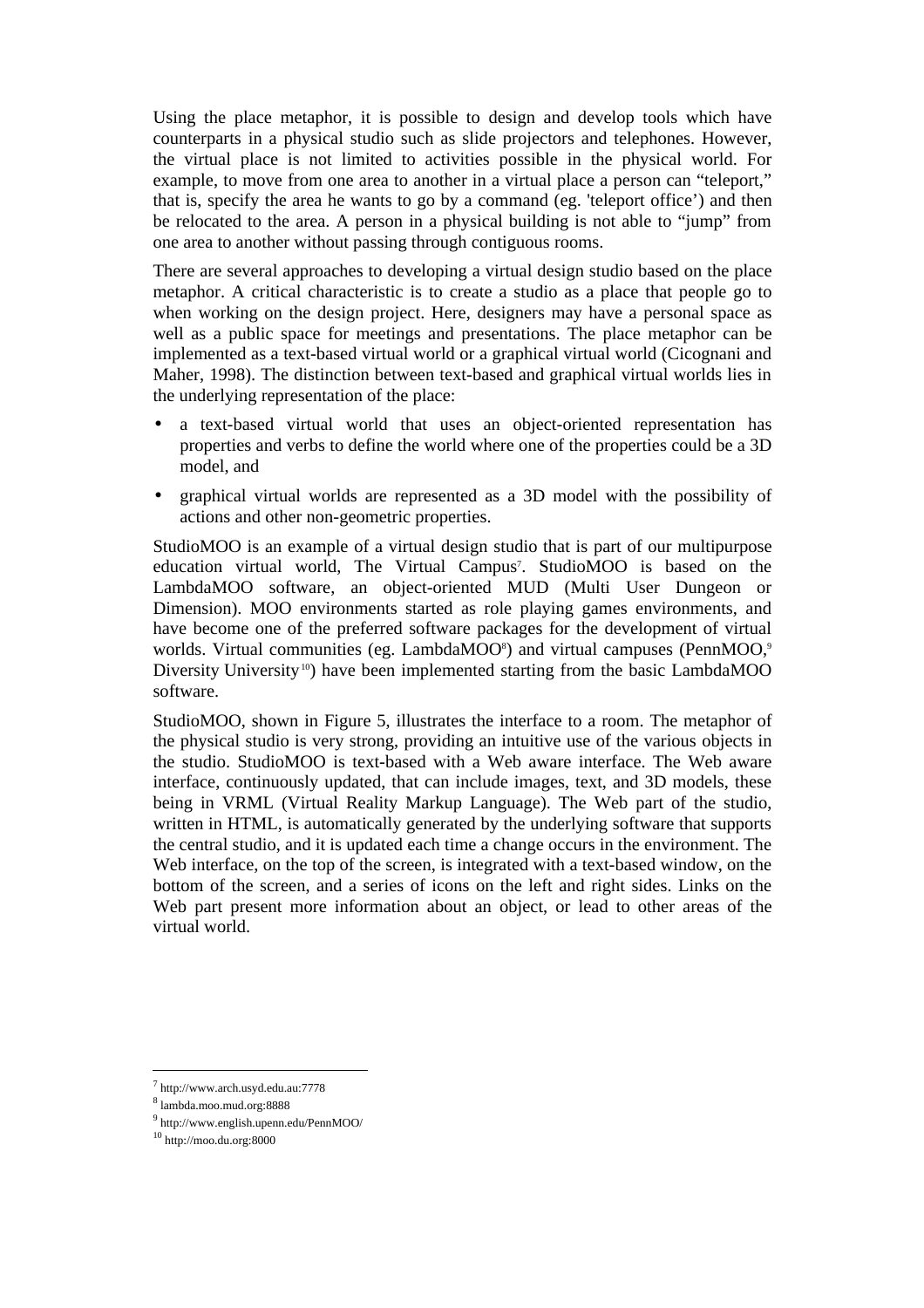Using the place metaphor, it is possible to design and develop tools which have counterparts in a physical studio such as slide projectors and telephones. However, the virtual place is not limited to activities possible in the physical world. For example, to move from one area to another in a virtual place a person can "teleport," that is, specify the area he wants to go by a command (eg. 'teleport office') and then be relocated to the area. A person in a physical building is not able to "jump" from one area to another without passing through contiguous rooms.

There are several approaches to developing a virtual design studio based on the place metaphor. A critical characteristic is to create a studio as a place that people go to when working on the design project. Here, designers may have a personal space as well as a public space for meetings and presentations. The place metaphor can be implemented as a text-based virtual world or a graphical virtual world (Cicognani and Maher, 1998). The distinction between text-based and graphical virtual worlds lies in the underlying representation of the place:

- a text-based virtual world that uses an object-oriented representation has properties and verbs to define the world where one of the properties could be a 3D model, and
- graphical virtual worlds are represented as a 3D model with the possibility of actions and other non-geometric properties.

StudioMOO is an example of a virtual design studio that is part of our multipurpose education virtual world, The Virtual Campus<sup>7</sup>. StudioMOO is based on the LambdaMOO software, an object-oriented MUD (Multi User Dungeon or Dimension). MOO environments started as role playing games environments, and have become one of the preferred software packages for the development of virtual worlds. Virtual communities (eg. LambdaMOO<sup>8</sup>) and virtual campuses (PennMOO,<sup>9</sup>) Diversity University<sup>10</sup>) have been implemented starting from the basic LambdaMOO software.

StudioMOO, shown in Figure 5, illustrates the interface to a room. The metaphor of the physical studio is very strong, providing an intuitive use of the various objects in the studio. StudioMOO is text-based with a Web aware interface. The Web aware interface, continuously updated, that can include images, text, and 3D models, these being in VRML (Virtual Reality Markup Language). The Web part of the studio, written in HTML, is automatically generated by the underlying software that supports the central studio, and it is updated each time a change occurs in the environment. The Web interface, on the top of the screen, is integrated with a text-based window, on the bottom of the screen, and a series of icons on the left and right sides. Links on the Web part present more information about an object, or lead to other areas of the virtual world.

l

<sup>7</sup> http://www.arch.usyd.edu.au:7778

<sup>8</sup> lambda.moo.mud.org:8888

<sup>9</sup> http://www.english.upenn.edu/PennMOO/

 $10$  http://moo.du.org:8000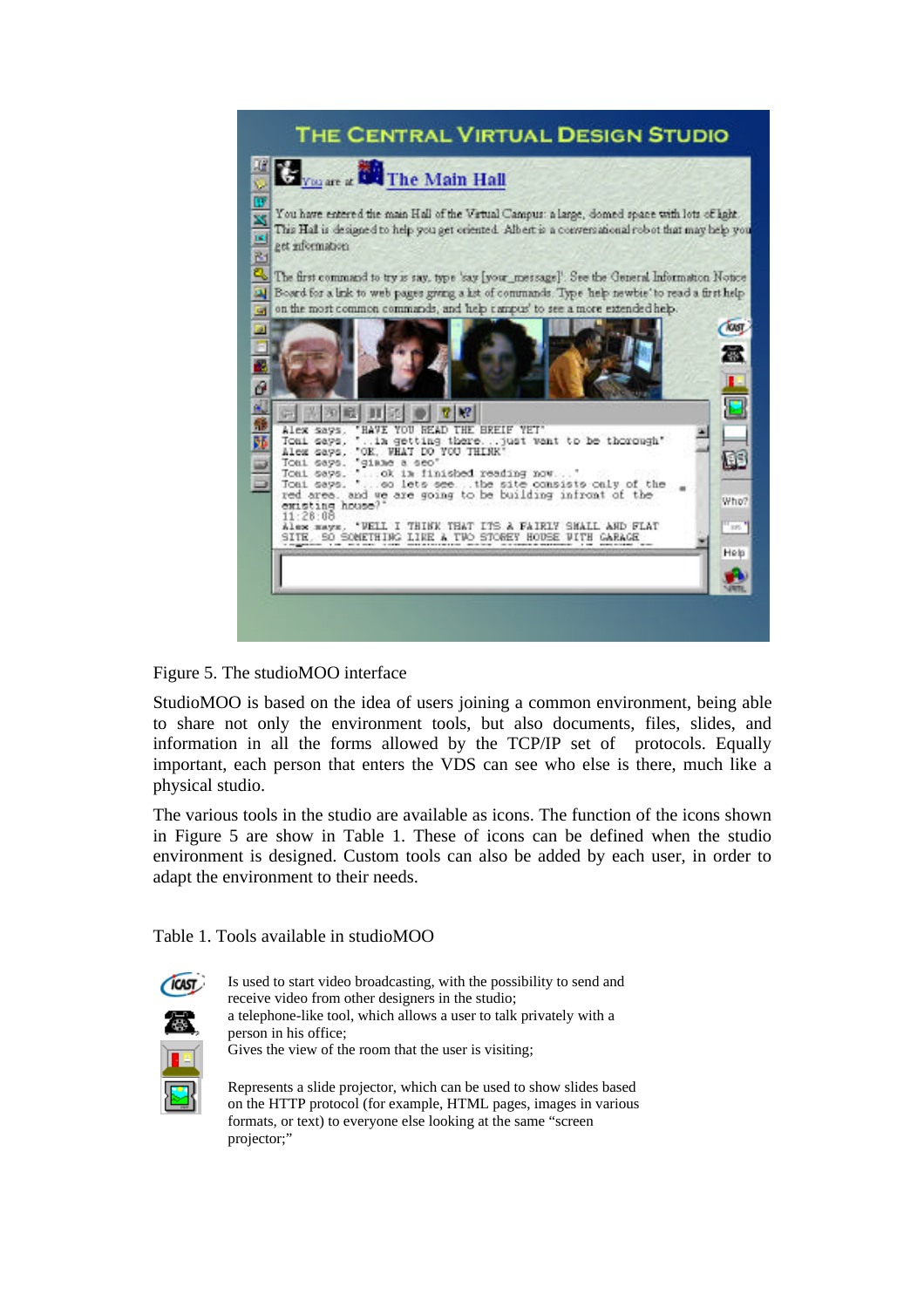

#### Figure 5. The studioMOO interface

StudioMOO is based on the idea of users joining a common environment, being able to share not only the environment tools, but also documents, files, slides, and information in all the forms allowed by the TCP/IP set of protocols. Equally important, each person that enters the VDS can see who else is there, much like a physical studio.

The various tools in the studio are available as icons. The function of the icons shown in Figure 5 are show in Table 1. These of icons can be defined when the studio environment is designed. Custom tools can also be added by each user, in order to adapt the environment to their needs.

Table 1. Tools available in studioMOO



Is used to start video broadcasting, with the possibility to send and receive video from other designers in the studio; a telephone-like tool, which allows a user to talk privately with a person in his office; Gives the view of the room that the user is visiting;

Represents a slide projector, which can be used to show slides based on the HTTP protocol (for example, HTML pages, images in various formats, or text) to everyone else looking at the same "screen projector;"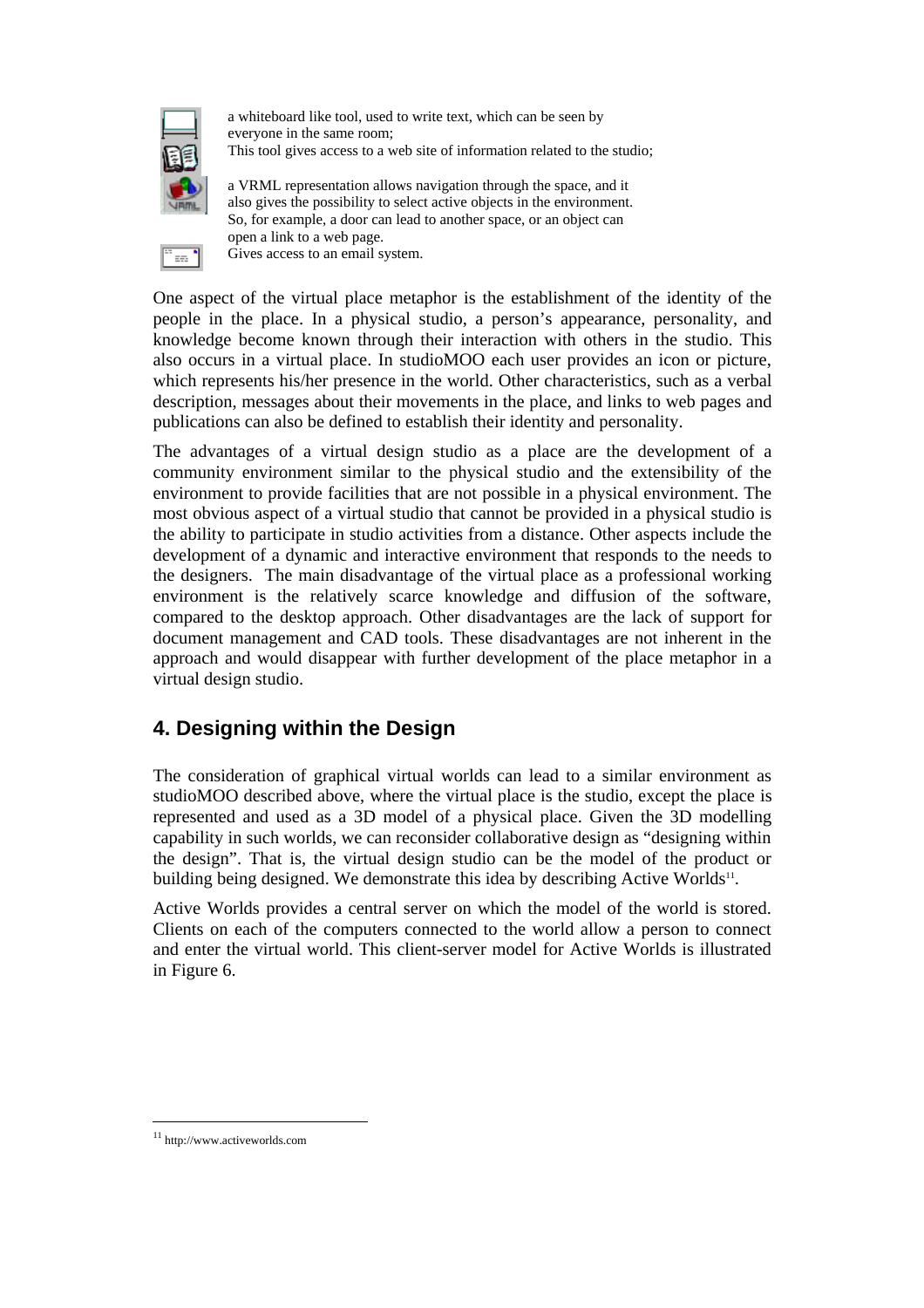

÷.

a whiteboard like tool, used to write text, which can be seen by everyone in the same room; This tool gives access to a web site of information related to the studio;

a VRML representation allows navigation through the space, and it also gives the possibility to select active objects in the environment. So, for example, a door can lead to another space, or an object can open a link to a web page. Gives access to an email system.

One aspect of the virtual place metaphor is the establishment of the identity of the people in the place. In a physical studio, a person's appearance, personality, and knowledge become known through their interaction with others in the studio. This also occurs in a virtual place. In studioMOO each user provides an icon or picture, which represents his/her presence in the world. Other characteristics, such as a verbal description, messages about their movements in the place, and links to web pages and publications can also be defined to establish their identity and personality.

The advantages of a virtual design studio as a place are the development of a community environment similar to the physical studio and the extensibility of the environment to provide facilities that are not possible in a physical environment. The most obvious aspect of a virtual studio that cannot be provided in a physical studio is the ability to participate in studio activities from a distance. Other aspects include the development of a dynamic and interactive environment that responds to the needs to the designers. The main disadvantage of the virtual place as a professional working environment is the relatively scarce knowledge and diffusion of the software, compared to the desktop approach. Other disadvantages are the lack of support for document management and CAD tools. These disadvantages are not inherent in the approach and would disappear with further development of the place metaphor in a virtual design studio.

## **4. Designing within the Design**

The consideration of graphical virtual worlds can lead to a similar environment as studioMOO described above, where the virtual place is the studio, except the place is represented and used as a 3D model of a physical place. Given the 3D modelling capability in such worlds, we can reconsider collaborative design as "designing within the design". That is, the virtual design studio can be the model of the product or building being designed. We demonstrate this idea by describing Active Worlds<sup>11</sup>.

Active Worlds provides a central server on which the model of the world is stored. Clients on each of the computers connected to the world allow a person to connect and enter the virtual world. This client-server model for Active Worlds is illustrated in Figure 6.

<sup>11</sup> http://www.activeworlds.com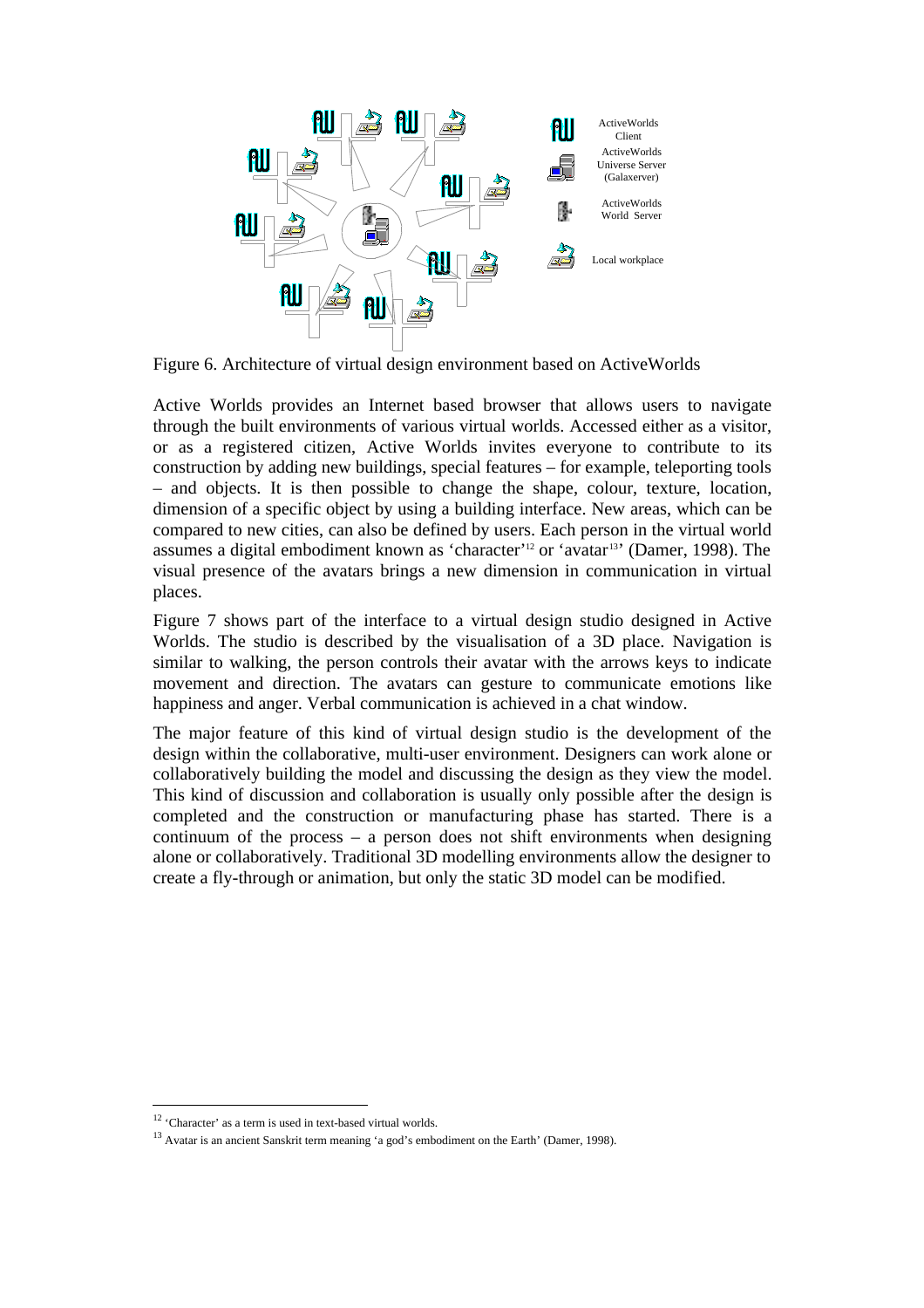

Figure 6. Architecture of virtual design environment based on ActiveWorlds

Active Worlds provides an Internet based browser that allows users to navigate through the built environments of various virtual worlds. Accessed either as a visitor, or as a registered citizen, Active Worlds invites everyone to contribute to its construction by adding new buildings, special features – for example, teleporting tools – and objects. It is then possible to change the shape, colour, texture, location, dimension of a specific object by using a building interface. New areas, which can be compared to new cities, can also be defined by users. Each person in the virtual world assumes a digital embodiment known as 'character'<sup>12</sup> or 'avatar<sup>13</sup>' (Damer, 1998). The visual presence of the avatars brings a new dimension in communication in virtual places.

Figure 7 shows part of the interface to a virtual design studio designed in Active Worlds. The studio is described by the visualisation of a 3D place. Navigation is similar to walking, the person controls their avatar with the arrows keys to indicate movement and direction. The avatars can gesture to communicate emotions like happiness and anger. Verbal communication is achieved in a chat window.

The major feature of this kind of virtual design studio is the development of the design within the collaborative, multi-user environment. Designers can work alone or collaboratively building the model and discussing the design as they view the model. This kind of discussion and collaboration is usually only possible after the design is completed and the construction or manufacturing phase has started. There is a continuum of the process – a person does not shift environments when designing alone or collaboratively. Traditional 3D modelling environments allow the designer to create a fly-through or animation, but only the static 3D model can be modified.

 $\overline{a}$ 

<sup>&</sup>lt;sup>12</sup> 'Character' as a term is used in text-based virtual worlds.

<sup>&</sup>lt;sup>13</sup> Avatar is an ancient Sanskrit term meaning 'a god's embodiment on the Earth' (Damer, 1998).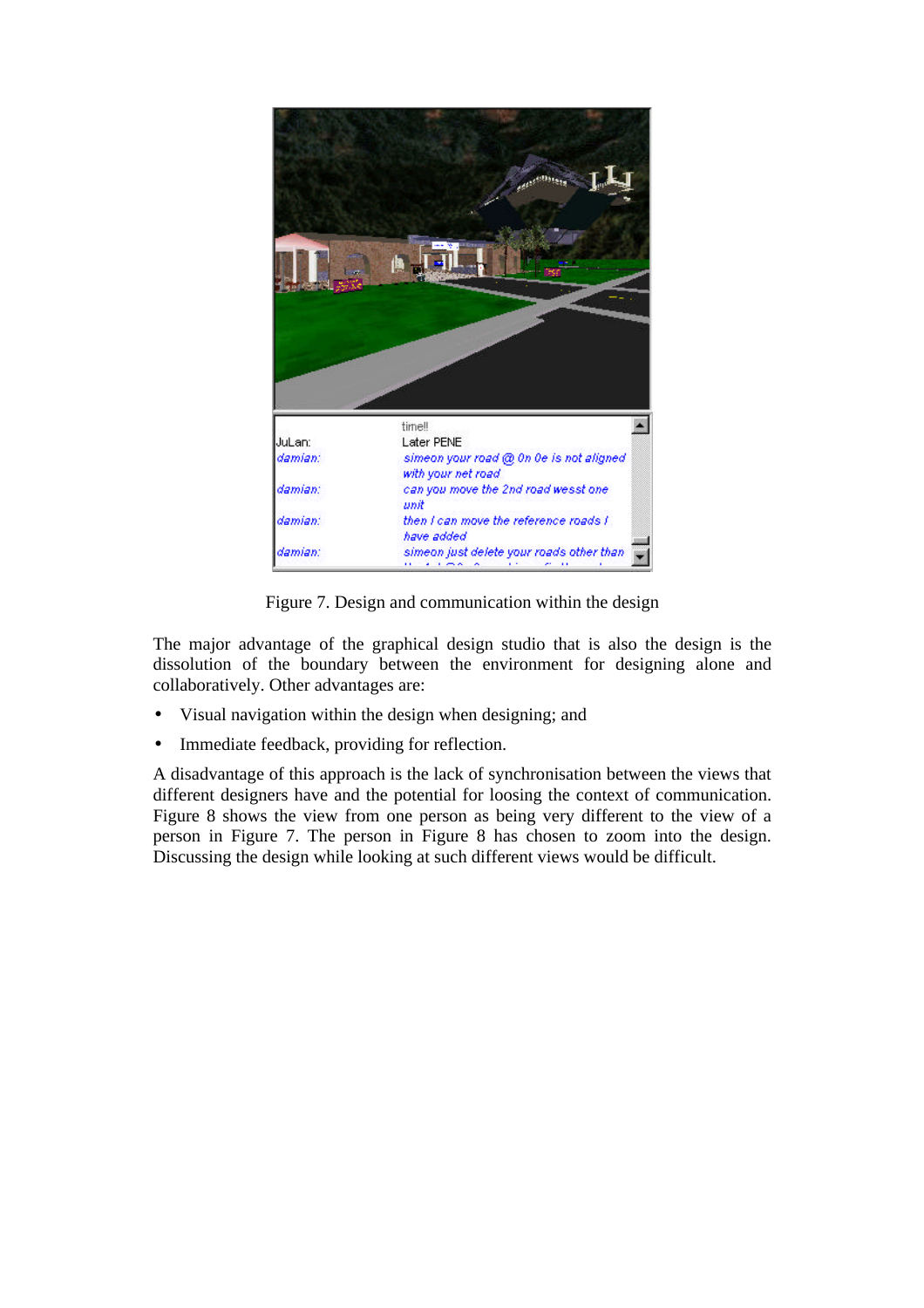

Figure 7. Design and communication within the design

The major advantage of the graphical design studio that is also the design is the dissolution of the boundary between the environment for designing alone and collaboratively. Other advantages are:

- Visual navigation within the design when designing; and
- Immediate feedback, providing for reflection.

A disadvantage of this approach is the lack of synchronisation between the views that different designers have and the potential for loosing the context of communication. Figure 8 shows the view from one person as being very different to the view of a person in Figure 7. The person in Figure 8 has chosen to zoom into the design. Discussing the design while looking at such different views would be difficult.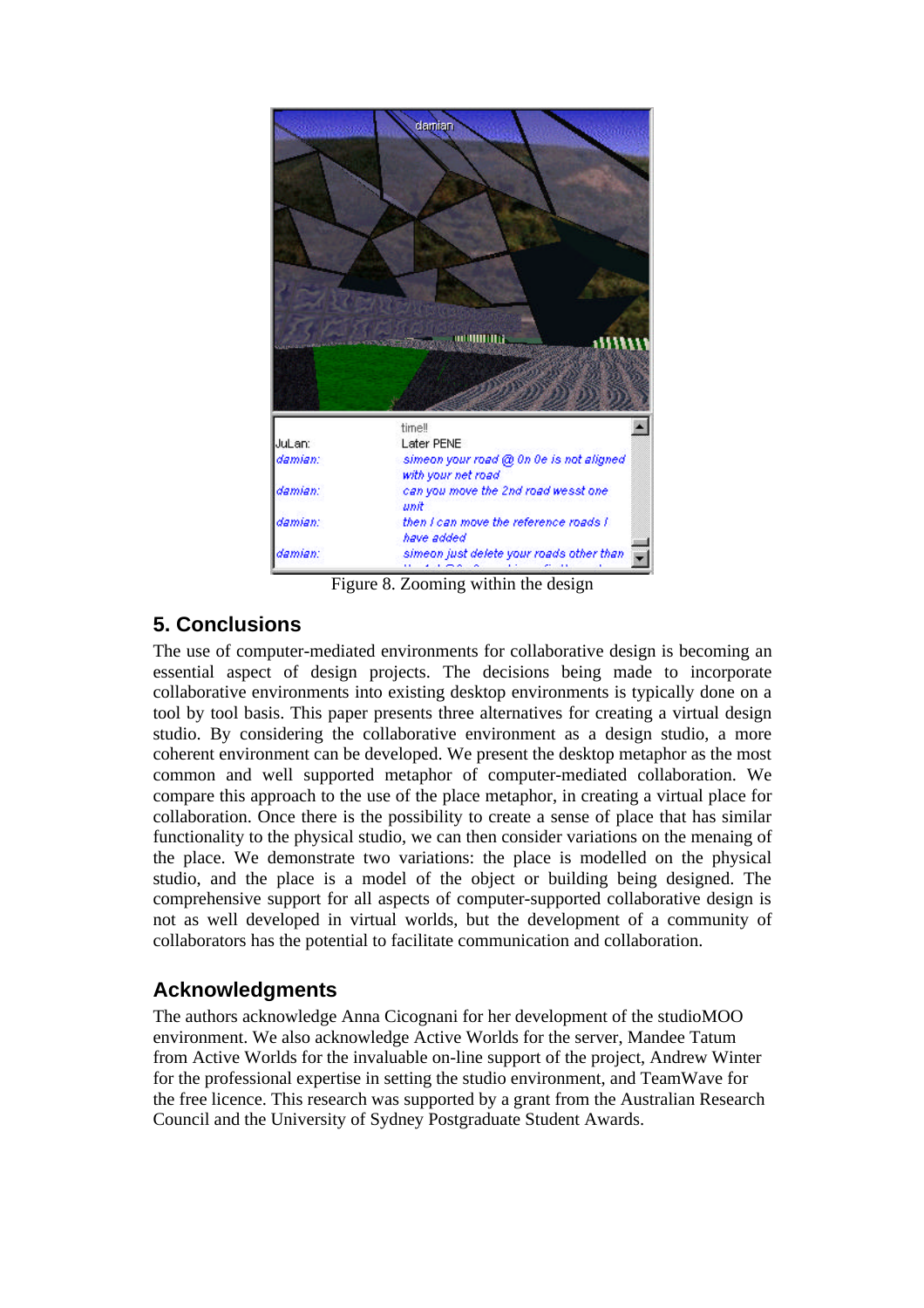

Figure 8. Zooming within the design

### **5. Conclusions**

The use of computer-mediated environments for collaborative design is becoming an essential aspect of design projects. The decisions being made to incorporate collaborative environments into existing desktop environments is typically done on a tool by tool basis. This paper presents three alternatives for creating a virtual design studio. By considering the collaborative environment as a design studio, a more coherent environment can be developed. We present the desktop metaphor as the most common and well supported metaphor of computer-mediated collaboration. We compare this approach to the use of the place metaphor, in creating a virtual place for collaboration. Once there is the possibility to create a sense of place that has similar functionality to the physical studio, we can then consider variations on the menaing of the place. We demonstrate two variations: the place is modelled on the physical studio, and the place is a model of the object or building being designed. The comprehensive support for all aspects of computer-supported collaborative design is not as well developed in virtual worlds, but the development of a community of collaborators has the potential to facilitate communication and collaboration.

### **Acknowledgments**

The authors acknowledge Anna Cicognani for her development of the studioMOO environment. We also acknowledge Active Worlds for the server, Mandee Tatum from Active Worlds for the invaluable on-line support of the project, Andrew Winter for the professional expertise in setting the studio environment, and TeamWave for the free licence. This research was supported by a grant from the Australian Research Council and the University of Sydney Postgraduate Student Awards.